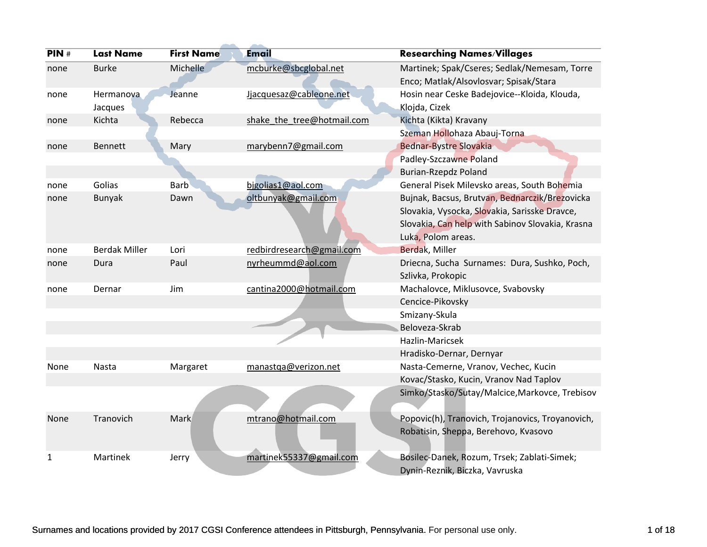| PIN# | <b>Last Name</b>     | <b>First Name</b> | Email                      | <b>Researching Names/Villages</b>                |
|------|----------------------|-------------------|----------------------------|--------------------------------------------------|
| none | <b>Burke</b>         | Michelle          | mcburke@sbcglobal.net      | Martinek; Spak/Cseres; Sedlak/Nemesam, Torre     |
|      |                      |                   |                            | Enco; Matlak/Alsovlosvar; Spisak/Stara           |
| none | Hermanova            | Jeanne            | Jjacquesaz@cableone.net    | Hosin near Ceske Badejovice--Kloida, Klouda,     |
|      | Jacques              |                   |                            | Klojda, Cizek                                    |
| none | Kichta               | Rebecca           | shake_the_tree@hotmail.com | Kichta (Kikta) Kravany                           |
|      |                      |                   |                            | Szeman Hollohaza Abauj-Torna                     |
| none | Bennett              | Mary              | marybenn7@gmail.com        | <b>Bednar-Bystre Slovakia</b>                    |
|      |                      |                   |                            | Padley-Szczawne Poland                           |
|      |                      |                   |                            | <b>Burian-Rzepdz Poland</b>                      |
| none | Golias               | <b>Barb</b>       | bjgolias1@aol.com          | General Pisek Milevsko areas, South Bohemia      |
| none | <b>Bunyak</b>        | Dawn              | oltbunyak@gmail.com        | Bujnak, Bacsus, Brutvan, Bednarczik/Brezovicka   |
|      |                      |                   |                            | Slovakia, Vysocka, Slovakia, Sarisske Dravce,    |
|      |                      |                   |                            | Slovakia, Can help with Sabinov Slovakia, Krasna |
|      |                      |                   |                            | Luka, Polom areas.                               |
| none | <b>Berdak Miller</b> | Lori              | redbirdresearch@gmail.com  | Berdak, Miller                                   |
| none | Dura                 | Paul              | nyrheummd@aol.com          | Driecna, Sucha Surnames: Dura, Sushko, Poch,     |
|      |                      |                   |                            | Szlivka, Prokopic                                |
| none | Dernar               | Jim               | cantina2000@hotmail.com    | Machalovce, Miklusovce, Svabovsky                |
|      |                      |                   |                            | Cencice-Pikovsky                                 |
|      |                      |                   |                            | Smizany-Skula                                    |
|      |                      |                   |                            | Beloveza-Skrab                                   |
|      |                      |                   |                            | Hazlin-Maricsek                                  |
|      |                      |                   |                            | Hradisko-Dernar, Dernyar                         |
| None | Nasta                | Margaret          | manastga@verizon.net       | Nasta-Cemerne, Vranov, Vechec, Kucin             |
|      |                      |                   |                            | Kovac/Stasko, Kucin, Vranov Nad Taplov           |
|      |                      |                   |                            | Simko/Stasko/Sutay/Malcice, Markovce, Trebisov   |
|      |                      |                   |                            |                                                  |
| None | Tranovich            | Mark              | mtrano@hotmail.com         | Popovic(h), Tranovich, Trojanovics, Troyanovich, |
|      |                      |                   |                            | Robatisin, Sheppa, Berehovo, Kvasovo             |
|      |                      |                   |                            |                                                  |
| 1    | Martinek             | Jerry             | martinek55337@gmail.com    | Bosilec-Danek, Rozum, Trsek; Zablati-Simek;      |
|      |                      |                   |                            | Dynin-Reznik, Biczka, Vavruska                   |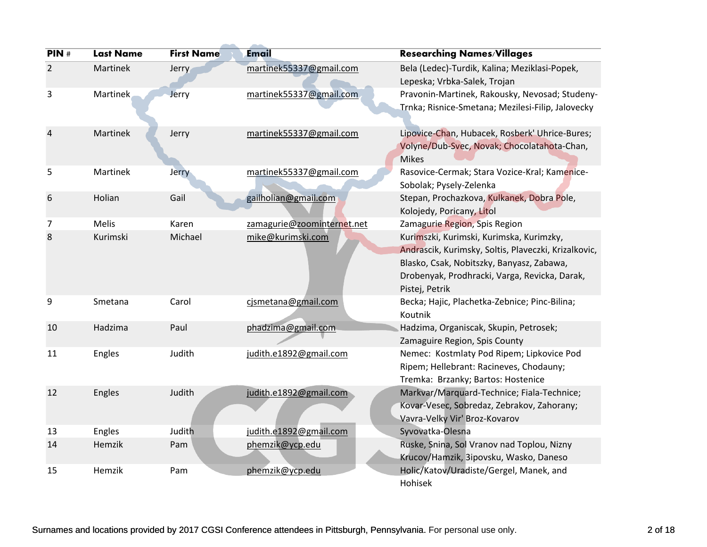| PIN#           | <b>Last Name</b> | <b>First Name</b> | <b>Email</b>               | <b>Researching Names/Villages</b>                                                                                                                                                                                |
|----------------|------------------|-------------------|----------------------------|------------------------------------------------------------------------------------------------------------------------------------------------------------------------------------------------------------------|
| $\overline{2}$ | Martinek         | <b>Jerry</b>      | martinek55337@gmail.com    | Bela (Ledec)-Turdik, Kalina; Meziklasi-Popek,<br>Lepeska; Vrbka-Salek, Trojan                                                                                                                                    |
| 3              | Martinek         | Jerry             | martinek55337@gmail.com    | Pravonin-Martinek, Rakousky, Nevosad; Studeny-<br>Trnka; Risnice-Smetana; Mezilesi-Filip, Jalovecky                                                                                                              |
| 4              | Martinek         | Jerry             | martinek55337@gmail.com    | Lipovice-Chan, Hubacek, Rosberk' Uhrice-Bures;<br>Volyne/Dub-Svec, Novak; Chocolatahota-Chan,<br><b>Mikes</b>                                                                                                    |
| 5              | Martinek         | Jerry             | martinek55337@gmail.com    | Rasovice-Cermak; Stara Vozice-Kral; Kamenice-<br>Sobolak; Pysely-Zelenka                                                                                                                                         |
| 6              | Holian           | Gail              | gailholian@gmail.com       | Stepan, Prochazkova, Kulkanek, Dobra Pole,<br>Kolojedy, Poricany, Litol                                                                                                                                          |
| 7              | Melis            | Karen             | zamagurie@zoominternet.net | Zamagurie Region, Spis Region                                                                                                                                                                                    |
| 8              | Kurimski         | Michael           | mike@kurimski.com          | Kurimszki, Kurimski, Kurimska, Kurimzky,<br>Andrascik, Kurimsky, Soltis, Plaveczki, Krizalkovic,<br>Blasko, Csak, Nobitszky, Banyasz, Zabawa,<br>Drobenyak, Prodhracki, Varga, Revicka, Darak,<br>Pistej, Petrik |
| 9              | Smetana          | Carol             | cismetana@gmail.com        | Becka; Hajic, Plachetka-Zebnice; Pinc-Bilina;<br>Koutnik                                                                                                                                                         |
| 10             | Hadzima          | Paul              | phadzima@gmail.com         | Hadzima, Organiscak, Skupin, Petrosek;<br>Zamaguire Region, Spis County                                                                                                                                          |
| 11             | Engles           | Judith            | judith.e1892@gmail.com     | Nemec: Kostmlaty Pod Ripem; Lipkovice Pod<br>Ripem; Hellebrant: Racineves, Chodauny;<br>Tremka: Brzanky; Bartos: Hostenice                                                                                       |
| 12             | Engles           | Judith            | judith.e1892@gmail.com     | Markvar/Marquard-Technice; Fiala-Technice;<br>Kovar-Vesec, Sobredaz, Zebrakov, Zahorany;<br>Vavra-Velky Vir' Broz-Kovarov                                                                                        |
| 13             | Engles           | Judith            | judith.e1892@gmail.com     | Syvovatka-Olesna                                                                                                                                                                                                 |
| 14             | Hemzik           | Pam               | phemzik@ycp.edu            | Ruske, Snina, Sol Vranov nad Toplou, Nizny<br>Krucov/Hamzik, 3ipovsku, Wasko, Daneso                                                                                                                             |
| 15             | Hemzik           | Pam               | phemzik@ycp.edu            | Holic/Katov/Uradiste/Gergel, Manek, and<br>Hohisek                                                                                                                                                               |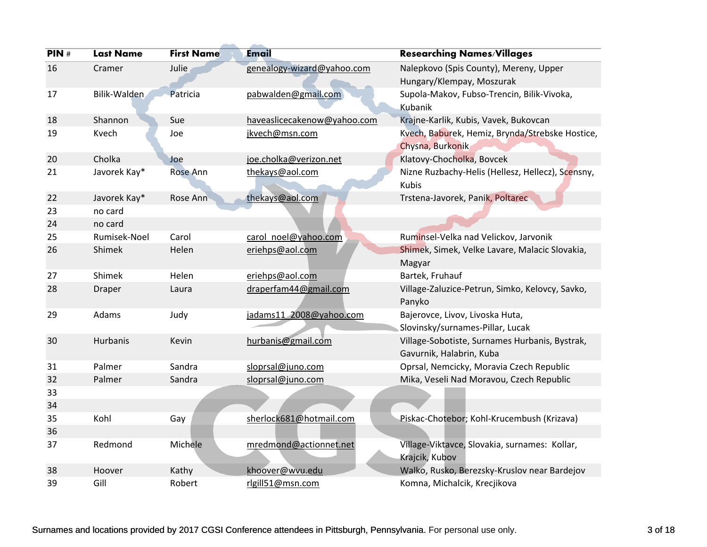| PIN# | <b>Last Name</b> | <b>First Name</b> | Email                       | <b>Researching Names/Villages</b>                 |
|------|------------------|-------------------|-----------------------------|---------------------------------------------------|
| 16   | Cramer           | Julie             | genealogy-wizard@yahoo.com  | Nalepkovo (Spis County), Mereny, Upper            |
|      |                  |                   |                             | Hungary/Klempay, Moszurak                         |
| 17   | Bilik-Walden     | Patricia          | pabwalden@gmail.com         | Supola-Makov, Fubso-Trencin, Bilik-Vivoka,        |
|      |                  |                   |                             | Kubanik                                           |
| 18   | Shannon          | Sue               | haveaslicecakenow@yahoo.com | Krajne-Karlik, Kubis, Vavek, Bukovcan             |
| 19   | Kvech            | Joe               | jkvech@msn.com              | Kvech, Baburek, Hemiz, Brynda/Strebske Hostice,   |
|      |                  |                   |                             | Chysna, Burkonik                                  |
| 20   | Cholka           | Joe               | joe.cholka@verizon.net      | Klatovy-Chocholka, Bovcek                         |
| 21   | Javorek Kay*     | <b>Rose Ann</b>   | thekays@aol.com             | Nizne Ruzbachy-Helis (Hellesz, Hellecz), Scensny, |
|      |                  |                   |                             | <b>Kubis</b>                                      |
| 22   | Javorek Kay*     | Rose Ann          | thekays@aol.com             | Trstena-Javorek, Panik, Poltarec                  |
| 23   | no card          |                   |                             |                                                   |
| 24   | no card          |                   |                             |                                                   |
| 25   | Rumisek-Noel     | Carol             | carol noel@yahoo.com        | Ruminsel-Velka nad Velickov, Jarvonik             |
| 26   | Shimek           | Helen             | eriehps@aol.com             | Shimek, Simek, Velke Lavare, Malacic Slovakia,    |
|      |                  |                   |                             | Magyar                                            |
| 27   | Shimek           | Helen             | eriehps@aol.com             | Bartek, Fruhauf                                   |
| 28   | Draper           | Laura             | draperfam44@gmail.com       | Village-Zaluzice-Petrun, Simko, Kelovcy, Savko,   |
|      |                  |                   |                             | Panyko                                            |
| 29   | Adams            | Judy              | jadams11_2008@yahoo.com     | Bajerovce, Livov, Livoska Huta,                   |
|      |                  |                   |                             | Slovinsky/surnames-Pillar, Lucak                  |
| 30   | Hurbanis         | Kevin             | hurbanis@gmail.com          | Village-Sobotiste, Surnames Hurbanis, Bystrak,    |
|      |                  |                   |                             | Gavurnik, Halabrin, Kuba                          |
| 31   | Palmer           | Sandra            | sloprsal@juno.com           | Oprsal, Nemcicky, Moravia Czech Republic          |
| 32   | Palmer           | Sandra            | sloprsal@juno.com           | Mika, Veseli Nad Moravou, Czech Republic          |
| 33   |                  |                   |                             |                                                   |
| 34   |                  |                   |                             |                                                   |
| 35   | Kohl             | Gay               | sherlock681@hotmail.com     | Piskac-Chotebor; Kohl-Krucembush (Krizava)        |
| 36   |                  |                   |                             |                                                   |
| 37   | Redmond          | Michele           | mredmond@actionnet.net      | Village-Viktavce, Slovakia, surnames: Kollar,     |
|      |                  |                   |                             | Krajcik, Kubov                                    |
| 38   | Hoover           | Kathy             | khoover@wvu.edu             | Walko, Rusko, Berezsky-Kruslov near Bardejov      |
| 39   | Gill             | Robert            | rlgill51@msn.com            | Komna, Michalcik, Krecjikova                      |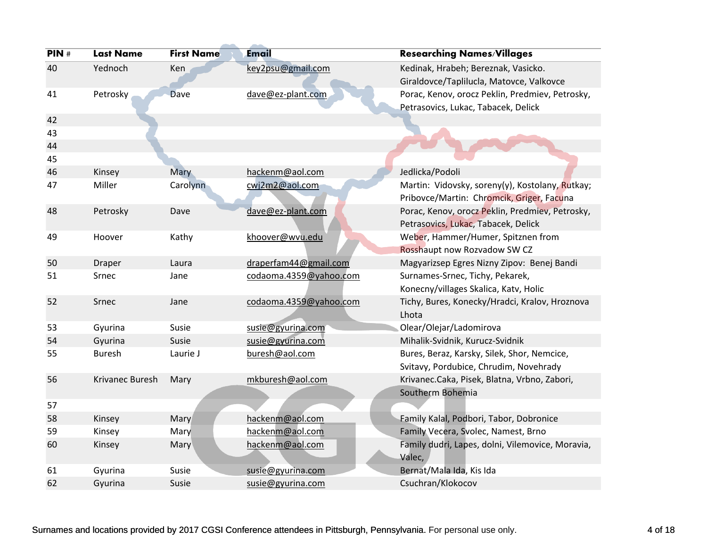| PIN# | <b>Last Name</b> | <b>First Name</b> | Email                  | <b>Researching Names/Villages</b>                |
|------|------------------|-------------------|------------------------|--------------------------------------------------|
| 40   | Yednoch          | Ken               | key2psu@gmail.com      | Kedinak, Hrabeh; Bereznak, Vasicko.              |
|      |                  |                   |                        | Giraldovce/Taplilucla, Matovce, Valkovce         |
| 41   | Petrosky         | <b>Dave</b>       | dave@ez-plant.com      | Porac, Kenov, orocz Peklin, Predmiev, Petrosky,  |
|      |                  |                   |                        | Petrasovics, Lukac, Tabacek, Delick              |
| 42   |                  |                   |                        |                                                  |
| 43   |                  |                   |                        |                                                  |
| 44   |                  |                   |                        |                                                  |
| 45   |                  |                   |                        |                                                  |
| 46   | Kinsey           | <b>Mary</b>       | hackenm@aol.com        | Jedlicka/Podoli                                  |
| 47   | Miller           | Carolynn          | cwj2m2@aol.com         | Martin: Vidovsky, soreny(y), Kostolany, Rutkay;  |
|      |                  |                   |                        | Pribovce/Martin: Chromcik, Griger, Facuna        |
| 48   | Petrosky         | Dave              | dave@ez-plant.com      | Porac, Kenov, orocz Peklin, Predmiev, Petrosky,  |
|      |                  |                   |                        | Petrasovics, Lukac, Tabacek, Delick              |
| 49   | Hoover           | Kathy             | khoover@wvu.edu        | Weber, Hammer/Humer, Spitznen from               |
|      |                  |                   |                        | Rosshaupt now Rozvadow SW CZ                     |
| 50   | Draper           | Laura             | draperfam44@gmail.com  | Magyarizsep Egres Nizny Zipov: Benej Bandi       |
| 51   | Srnec            | Jane              | codaoma.4359@yahoo.com | Surnames-Srnec, Tichy, Pekarek,                  |
|      |                  |                   |                        | Konecny/villages Skalica, Katv, Holic            |
| 52   | Srnec            | Jane              | codaoma.4359@yahoo.com | Tichy, Bures, Konecky/Hradci, Kralov, Hroznova   |
|      |                  |                   |                        | Lhota                                            |
| 53   | Gyurina          | Susie             | susie@gyurina.com      | Olear/Olejar/Ladomirova                          |
| 54   | Gyurina          | Susie             | susie@gyurina.com      | Mihalik-Svidnik, Kurucz-Svidnik                  |
| 55   | <b>Buresh</b>    | Laurie J          | buresh@aol.com         | Bures, Beraz, Karsky, Silek, Shor, Nemcice,      |
|      |                  |                   |                        | Svitavy, Pordubice, Chrudim, Novehrady           |
| 56   | Krivanec Buresh  | Mary              | mkburesh@aol.com       | Krivanec.Caka, Pisek, Blatna, Vrbno, Zabori,     |
|      |                  |                   |                        | Southerm Bohemia                                 |
| 57   |                  |                   |                        |                                                  |
| 58   | Kinsey           | Mary              | hackenm@aol.com        | Family Kalal, Podbori, Tabor, Dobronice          |
| 59   | Kinsey           | Mary              | hackenm@aol.com        | Family Vecera, Svolec, Namest, Brno              |
| 60   | Kinsey           | Mary              | hackenm@aol.com        | Family dudri, Lapes, dolni, Vilemovice, Moravia, |
|      |                  |                   |                        | Valec,                                           |
| 61   | Gyurina          | Susie             | susie@gyurina.com      | Bernat/Mala Ida, Kis Ida                         |
| 62   | Gyurina          | Susie             | susie@gyurina.com      | Csuchran/Klokocov                                |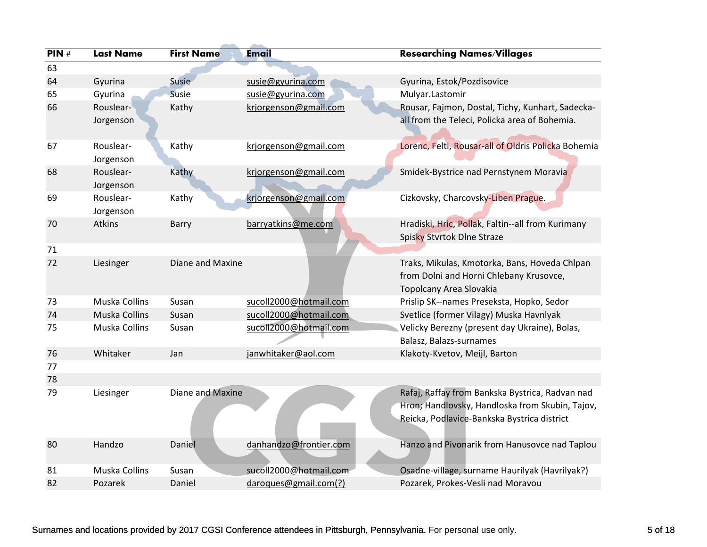| PIN# | <b>Last Name</b>       | <b>First Name</b> | <b>Email</b>           | <b>Researching Names/Villages</b>                                                                                                                 |
|------|------------------------|-------------------|------------------------|---------------------------------------------------------------------------------------------------------------------------------------------------|
| 63   |                        |                   |                        |                                                                                                                                                   |
| 64   | Gyurina                | Susie             | susie@gyurina.com      | Gyurina, Estok/Pozdisovice                                                                                                                        |
| 65   | Gyurina                | Susie             | susie@gyurina.com      | Mulyar.Lastomir                                                                                                                                   |
| 66   | Rouslear-              | Kathy             | krjorgenson@gmail.com  | Rousar, Fajmon, Dostal, Tichy, Kunhart, Sadecka-                                                                                                  |
|      | Jorgenson              |                   |                        | all from the Teleci, Policka area of Bohemia.                                                                                                     |
| 67   | Rouslear-<br>Jorgenson | Kathy             | krjorgenson@gmail.com  | Lorenc, Felti, Rousar-all of Oldris Policka Bohemia                                                                                               |
| 68   | Rouslear-<br>Jorgenson | Kathy             | krjorgenson@gmail.com  | Smidek-Bystrice nad Pernstynem Moravia                                                                                                            |
| 69   | Rouslear-<br>Jorgenson | Kathy             | krjorgenson@gmail.com  | Cizkovsky, Charcovsky-Liben Prague.                                                                                                               |
| 70   | Atkins                 | Barry             | barryatkins@me.com     | Hradiski, Hric, Pollak, Faltin--all from Kurimany<br>Spisky Stvrtok Dlne Straze                                                                   |
| 71   |                        |                   |                        |                                                                                                                                                   |
| 72   | Liesinger              | Diane and Maxine  |                        | Traks, Mikulas, Kmotorka, Bans, Hoveda Chlpan<br>from Dolni and Horni Chlebany Krusovce,<br>Topolcany Area Slovakia                               |
| 73   | Muska Collins          | Susan             | sucoll2000@hotmail.com | Prislip SK--names Preseksta, Hopko, Sedor                                                                                                         |
| 74   | Muska Collins          | Susan             | sucoll2000@hotmail.com | Svetlice (former Vilagy) Muska Havnlyak                                                                                                           |
| 75   | Muska Collins          | Susan             | sucoll2000@hotmail.com | Velicky Berezny (present day Ukraine), Bolas,<br>Balasz, Balazs-surnames                                                                          |
| 76   | Whitaker               | Jan               | janwhitaker@aol.com    | Klakoty-Kvetov, Meijl, Barton                                                                                                                     |
| 77   |                        |                   |                        |                                                                                                                                                   |
| 78   |                        |                   |                        |                                                                                                                                                   |
| 79   | Liesinger              | Diane and Maxine  |                        | Rafaj, Raffay from Bankska Bystrica, Radvan nad<br>Hron; Handlovsky, Handloska from Skubin, Tajov,<br>Reicka, Podlavice-Bankska Bystrica district |
| 80   | Handzo                 | Daniel            | danhandzo@frontier.com | Hanzo and Pivonarik from Hanusovce nad Taplou                                                                                                     |
| 81   | Muska Collins          | Susan             | sucoll2000@hotmail.com | Osadne-village, surname Haurilyak (Havrilyak?)                                                                                                    |
| 82   | Pozarek                | Daniel            | daroques@gmail.com(?)  | Pozarek, Prokes-Vesli nad Moravou                                                                                                                 |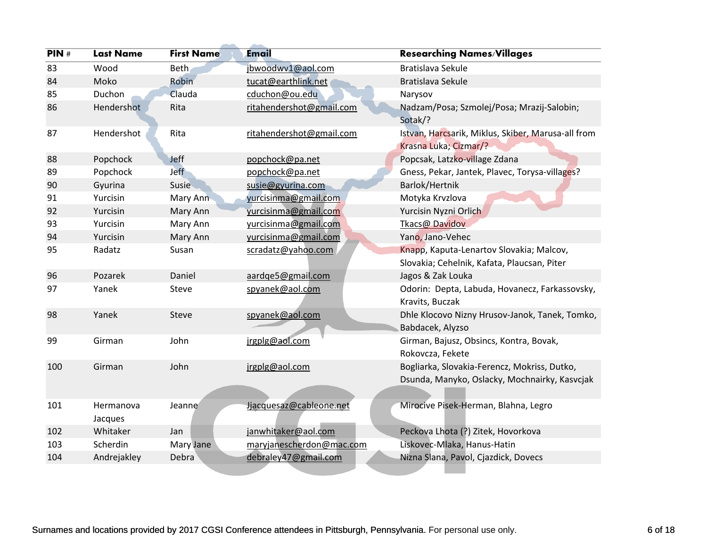| PIN# | <b>Last Name</b>     | <b>First Name</b> | <b>Email</b>             | <b>Researching Names/Villages</b>                                                             |
|------|----------------------|-------------------|--------------------------|-----------------------------------------------------------------------------------------------|
| 83   | Wood                 | Beth              | jbwoodwv1@aol.com        | <b>Bratislava Sekule</b>                                                                      |
| 84   | Moko                 | Robin             | tucat@earthlink.net      | Bratislava Sekule                                                                             |
| 85   | Duchon               | Clauda            | cduchon@ou.edu           | Narysov                                                                                       |
| 86   | Hendershot           | Rita              | ritahendershot@gmail.com | Nadzam/Posa; Szmolej/Posa; Mrazij-Salobin;<br>Sotak/?                                         |
| 87   | Hendershot           | Rita              | ritahendershot@gmail.com | Istvan, Harcsarik, Miklus, Skiber, Marusa-all from<br>Krasna Luka; Cizmar/?                   |
| 88   | Popchock             | <b>Jeff</b>       | popchock@pa.net          | Popcsak, Latzko-village Zdana                                                                 |
| 89   | Popchock             | <b>Jeff</b>       | popchock@pa.net          | Gness, Pekar, Jantek, Plavec, Torysa-villages?                                                |
| 90   | Gyurina              | Susie             | susie@gyurina.com        | Barlok/Hertnik                                                                                |
| 91   | Yurcisin             | Mary Ann          | yurcisinma@gmail.com     | Motyka Krvzlova                                                                               |
| 92   | Yurcisin             | Mary Ann          | yurcisinma@gmail.com     | Yurcisin Nyzni Orlich                                                                         |
| 93   | Yurcisin             | Mary Ann          | yurcisinma@gmail.com     | Tkacs@ Davidov                                                                                |
| 94   | Yurcisin             | Mary Ann          | yurcisinma@gmail.com     | Yano, Jano-Vehec                                                                              |
| 95   | Radatz               | Susan             | scradatz@yahoo.com       | Knapp, Kaputa-Lenartov Slovakia; Malcov,<br>Slovakia; Cehelnik, Kafata, Plaucsan, Piter       |
| 96   | Pozarek              | Daniel            | aardge5@gmail.com        | Jagos & Zak Louka                                                                             |
| 97   | Yanek                | Steve             | spyanek@aol.com          | Odorin: Depta, Labuda, Hovanecz, Farkassovsky,<br>Kravits, Buczak                             |
| 98   | Yanek                | Steve             | spyanek@aol.com          | Dhle Klocovo Nizny Hrusov-Janok, Tanek, Tomko,<br>Babdacek, Alyzso                            |
| 99   | Girman               | John              | jrgplg@aol.com           | Girman, Bajusz, Obsincs, Kontra, Bovak,<br>Rokovcza, Fekete                                   |
| 100  | Girman               | John              | jrgplg@aol.com           | Bogliarka, Slovakia-Ferencz, Mokriss, Dutko,<br>Dsunda, Manyko, Oslacky, Mochnairky, Kasvcjak |
| 101  | Hermanova<br>Jacques | Jeanne            | Jjacquesaz@cableone.net  | Mirocive Pisek-Herman, Blahna, Legro                                                          |
| 102  | Whitaker             | Jan               | janwhitaker@aol.com      | Peckova Lhota (?) Zitek, Hovorkova                                                            |
| 103  | Scherdin             | Mary Jane         | maryjanescherdon@mac.com | Liskovec-Mlaka, Hanus-Hatin                                                                   |
| 104  | Andrejakley          | Debra             | debraley47@gmail.com     | Nizna Slana, Pavol, Cjazdick, Dovecs                                                          |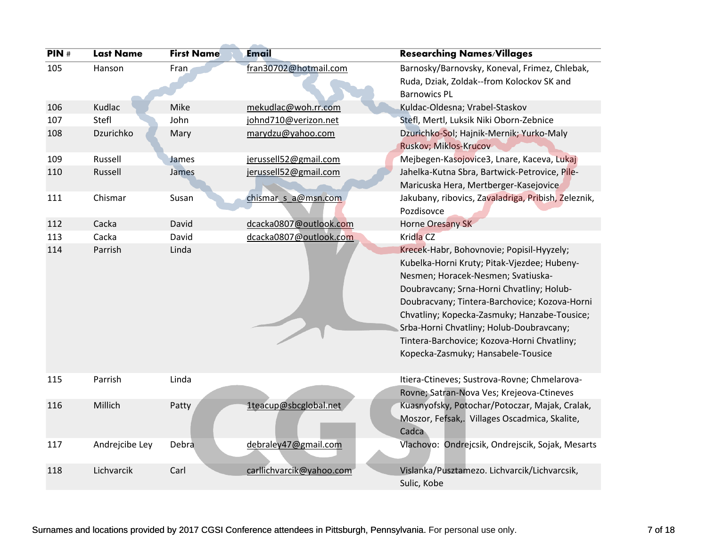| PIN# | <b>Last Name</b> | <b>First Name</b> | Email                    | <b>Researching Names/Villages</b>                                                                                                                                                                                                                                                                                                                                                                             |
|------|------------------|-------------------|--------------------------|---------------------------------------------------------------------------------------------------------------------------------------------------------------------------------------------------------------------------------------------------------------------------------------------------------------------------------------------------------------------------------------------------------------|
| 105  | Hanson           | Fran              | fran30702@hotmail.com    | Barnosky/Barnovsky, Koneval, Frimez, Chlebak,<br>Ruda, Dziak, Zoldak--from Kolockov SK and<br><b>Barnowics PL</b>                                                                                                                                                                                                                                                                                             |
| 106  | Kudlac           | Mike              | mekudlac@woh.rr.com      | Kuldac-Oldesna; Vrabel-Staskov                                                                                                                                                                                                                                                                                                                                                                                |
| 107  | Stefl            | John              | johnd710@verizon.net     | Stefl, Mertl, Luksik Niki Oborn-Zebnice                                                                                                                                                                                                                                                                                                                                                                       |
| 108  | Dzurichko        | Mary              | marydzu@yahoo.com        | Dzurichko-Sol; Hajnik-Mernik; Yurko-Maly<br>Ruskov; Miklos-Krucov                                                                                                                                                                                                                                                                                                                                             |
| 109  | Russell          | James             | jerussell52@gmail.com    | Mejbegen-Kasojovice3, Lnare, Kaceva, Lukaj                                                                                                                                                                                                                                                                                                                                                                    |
| 110  | Russell          | James             | jerussell52@gmail.com    | Jahelka-Kutna Sbra, Bartwick-Petrovice, Pile-<br>Maricuska Hera, Mertberger-Kasejovice                                                                                                                                                                                                                                                                                                                        |
| 111  | Chismar          | Susan             | chismar s a@msn.com      | Jakubany, ribovics, Zavaladriga, Pribish, Zeleznik,<br>Pozdisovce                                                                                                                                                                                                                                                                                                                                             |
| 112  | Cacka            | David             | dcacka0807@outlook.com   | Horne Oresany SK                                                                                                                                                                                                                                                                                                                                                                                              |
| 113  | Cacka            | David             | dcacka0807@outlook.com   | Kridla CZ                                                                                                                                                                                                                                                                                                                                                                                                     |
| 114  | Parrish          | Linda             |                          | Krecek-Habr, Bohovnovie; Popisil-Hyyzely;<br>Kubelka-Horni Kruty; Pitak-Vjezdee; Hubeny-<br>Nesmen; Horacek-Nesmen; Svatiuska-<br>Doubravcany; Srna-Horni Chvatliny; Holub-<br>Doubracvany; Tintera-Barchovice; Kozova-Horni<br>Chvatliny; Kopecka-Zasmuky; Hanzabe-Tousice;<br>Srba-Horni Chvatliny; Holub-Doubravcany;<br>Tintera-Barchovice; Kozova-Horni Chvatliny;<br>Kopecka-Zasmuky; Hansabele-Tousice |
| 115  | Parrish          | Linda             |                          | Itiera-Ctineves; Sustrova-Rovne; Chmelarova-<br>Rovne; Satran-Nova Ves; Krejeova-Ctineves                                                                                                                                                                                                                                                                                                                     |
| 116  | Millich          | Patty             | 1teacup@sbcglobal.net    | Kuasnyofsky, Potochar/Potoczar, Majak, Cralak,<br>Moszor, Fefsak,. Villages Oscadmica, Skalite,<br>Cadca                                                                                                                                                                                                                                                                                                      |
| 117  | Andrejcibe Ley   | Debra             | debraley47@gmail.com     | Vlachovo: Ondrejcsik, Ondrejscik, Sojak, Mesarts                                                                                                                                                                                                                                                                                                                                                              |
| 118  | Lichvarcik       | Carl              | carllichvarcik@yahoo.com | Vislanka/Pusztamezo. Lichvarcik/Lichvarcsik,<br>Sulic, Kobe                                                                                                                                                                                                                                                                                                                                                   |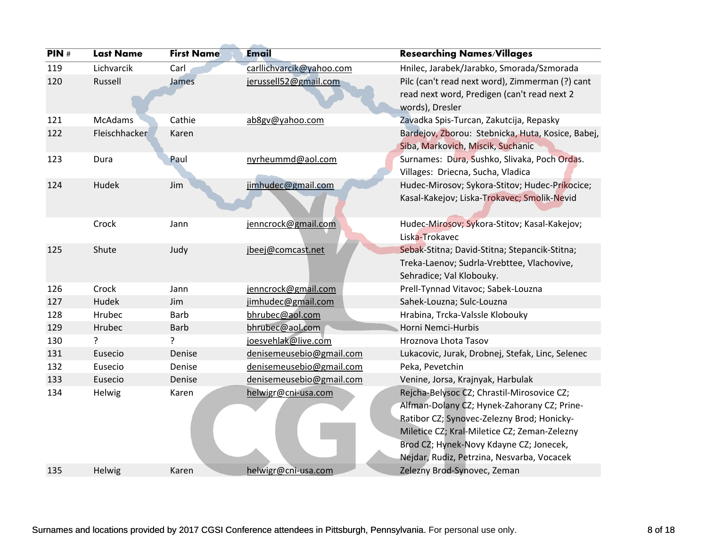| PIN# | <b>Last Name</b> | <b>First Name</b> | <b>Email</b>             | <b>Researching Names/Villages</b>                                                                                 |
|------|------------------|-------------------|--------------------------|-------------------------------------------------------------------------------------------------------------------|
| 119  | Lichvarcik       | Carl              | carllichvarcik@yahoo.com | Hnilec, Jarabek/Jarabko, Smorada/Szmorada                                                                         |
| 120  | Russell          | James             | jerussell52@gmail.com    | Pilc (can't read next word), Zimmerman (?) cant<br>read next word, Predigen (can't read next 2<br>words), Dresler |
| 121  | <b>McAdams</b>   | Cathie            | ab8gv@yahoo.com          | Zavadka Spis-Turcan, Zakutcija, Repasky                                                                           |
| 122  | Fleischhacker    | Karen             |                          | Bardejov, Zborou: Stebnicka, Huta, Kosice, Babej,<br>Siba, Markovich, Miscik, Suchanic                            |
| 123  | Dura             | Paul              | nyrheummd@aol.com        | Surnames: Dura, Sushko, Slivaka, Poch Ordas.                                                                      |
|      |                  |                   |                          | Villages: Driecna, Sucha, Vladica                                                                                 |
| 124  | Hudek            | Jim               | jimhudec@gmail.com       | Hudec-Mirosov; Sykora-Stitov; Hudec-Prikocice;                                                                    |
|      |                  |                   |                          | Kasal-Kakejov; Liska-Trokavec; Smolik-Nevid                                                                       |
|      | Crock            | Jann              | jenncrock@gmail.com      | Hudec-Mirosov; Sykora-Stitov; Kasal-Kakejov;                                                                      |
|      |                  |                   |                          | Liska-Trokavec                                                                                                    |
| 125  | Shute            | Judy              | jbeej@comcast.net        | Sebak-Stitna; David-Stitna; Stepancik-Stitna;                                                                     |
|      |                  |                   |                          | Treka-Laenov; Sudrla-Vrebttee, Vlachovive,                                                                        |
|      |                  |                   |                          | Sehradice; Val Klobouky.                                                                                          |
| 126  | Crock            | Jann              | jenncrock@gmail.com      | Prell-Tynnad Vitavoc; Sabek-Louzna                                                                                |
| 127  | Hudek            | Jim               | jimhudec@gmail.com       | Sahek-Louzna; Sulc-Louzna                                                                                         |
| 128  | Hrubec           | <b>Barb</b>       | bhrubec@aol.com          | Hrabina, Trcka-Valssle Klobouky                                                                                   |
| 129  | Hrubec           | <b>Barb</b>       | bhrubec@aol.com          | Horni Nemci-Hurbis                                                                                                |
| 130  | ?                | ?                 | joesvehlak@live.com      | Hroznova Lhota Tasov                                                                                              |
| 131  | Eusecio          | Denise            | denisemeusebio@gmail.com | Lukacovic, Jurak, Drobnej, Stefak, Linc, Selenec                                                                  |
| 132  | Eusecio          | Denise            | denisemeusebio@gmail.com | Peka, Pevetchin                                                                                                   |
| 133  | Eusecio          | Denise            | denisemeusebio@gmail.com | Venine, Jorsa, Krajnyak, Harbulak                                                                                 |
| 134  | Helwig           | Karen             | helwigr@cni-usa.com      | Rejcha-Belysoc CZ; Chrastil-Mirosovice CZ;                                                                        |
|      |                  |                   |                          | Alfman-Dolany CZ; Hynek-Zahorany CZ; Prine-                                                                       |
|      |                  |                   |                          | Ratibor CZ; Synovec-Zelezny Brod; Honicky-                                                                        |
|      |                  |                   |                          | Miletice CZ; Kral-Miletice CZ; Zeman-Zelezny                                                                      |
|      |                  |                   |                          | Brod CZ; Hynek-Novy Kdayne CZ; Jonecek,                                                                           |
|      |                  |                   |                          | Nejdar, Rudiz, Petrzina, Nesvarba, Vocacek                                                                        |
| 135  | Helwig           | Karen             | helwigr@cni-usa.com      | Zelezny Brod-Synovec, Zeman                                                                                       |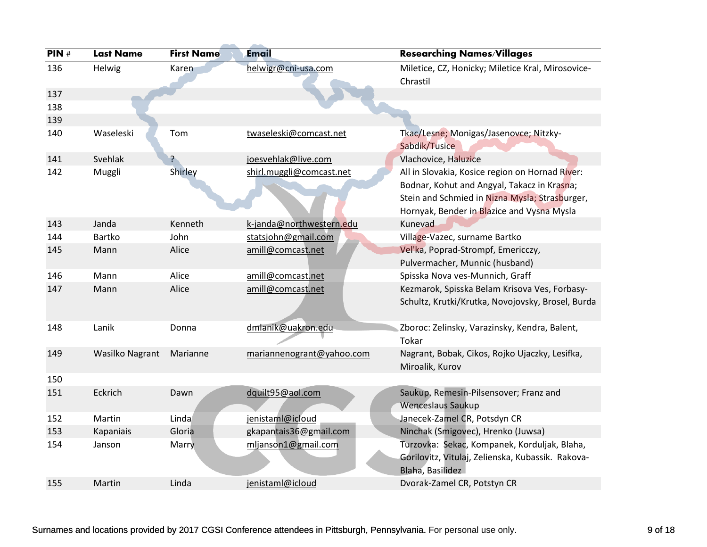| PIN#       | <b>Last Name</b>       | <b>First Name</b> | <b>Email</b>              | <b>Researching Names/Villages</b>                                                                                                                                                              |
|------------|------------------------|-------------------|---------------------------|------------------------------------------------------------------------------------------------------------------------------------------------------------------------------------------------|
| 136        | Helwig                 | Karen             | helwigr@cni-usa.com       | Miletice, CZ, Honicky; Miletice Kral, Mirosovice-<br>Chrastil                                                                                                                                  |
| 137        |                        |                   |                           |                                                                                                                                                                                                |
| 138<br>139 |                        |                   |                           |                                                                                                                                                                                                |
| 140        | Waseleski              | Tom               | twaseleski@comcast.net    | Tkac/Lesne; Monigas/Jasenovce; Nitzky-<br>Sabdik/Tusice                                                                                                                                        |
| 141        | Svehlak                | ?                 | joesvehlak@live.com       | Vlachovice, Haluzice                                                                                                                                                                           |
| 142        | Muggli                 | Shirley           | shirl.muggli@comcast.net  | All in Slovakia, Kosice region on Hornad River:<br>Bodnar, Kohut and Angyal, Takacz in Krasna;<br>Stein and Schmied in Nizna Mysla; Strasburger,<br>Hornyak, Bender in Blazice and Vysna Mysla |
| 143        | Janda                  | Kenneth           | k-janda@northwestern.edu  | Kunevad                                                                                                                                                                                        |
| 144        | Bartko                 | John              | statsjohn@gmail.com       | Village-Vazec, surname Bartko                                                                                                                                                                  |
| 145        | Mann                   | Alice             | amill@comcast.net         | Vel'ka, Poprad-Strompf, Emericczy,<br>Pulvermacher, Munnic (husband)                                                                                                                           |
| 146        | Mann                   | Alice             | amill@comcast.net         | Spisska Nova ves-Munnich, Graff                                                                                                                                                                |
| 147        | Mann                   | Alice             | amill@comcast.net         | Kezmarok, Spisska Belam Krisova Ves, Forbasy-<br>Schultz, Krutki/Krutka, Novojovsky, Brosel, Burda                                                                                             |
| 148        | Lanik                  | Donna             | dmlanik@uakron.edu        | Zboroc: Zelinsky, Varazinsky, Kendra, Balent,<br>Tokar                                                                                                                                         |
| 149        | <b>Wasilko Nagrant</b> | Marianne          | mariannenogrant@yahoo.com | Nagrant, Bobak, Cikos, Rojko Ujaczky, Lesifka,<br>Miroalik, Kurov                                                                                                                              |
| 150        |                        |                   |                           |                                                                                                                                                                                                |
| 151        | Eckrich                | Dawn              | dquilt95@aol.com          | Saukup. Remesin-Pilsensover; Franz and<br><b>Wenceslaus Saukup</b>                                                                                                                             |
| 152        | Martin                 | Linda             | jenistaml@icloud          | Janecek-Zamel CR, Potsdyn CR                                                                                                                                                                   |
| 153        | Kapaniais              | Gloria            | gkapantais36@gmail.com    | Ninchak (Smigovec), Hrenko (Juwsa)                                                                                                                                                             |
| 154        | Janson                 | Marry             | mljanson1@gmail.com       | Turzovka: Sekac, Kompanek, Korduljak, Blaha,<br>Gorilovitz, Vitulaj, Zelienska, Kubassik. Rakova-<br>Blaha, Basilidez                                                                          |
| 155        | Martin                 | Linda             | jenistaml@icloud          | Dvorak-Zamel CR, Potstyn CR                                                                                                                                                                    |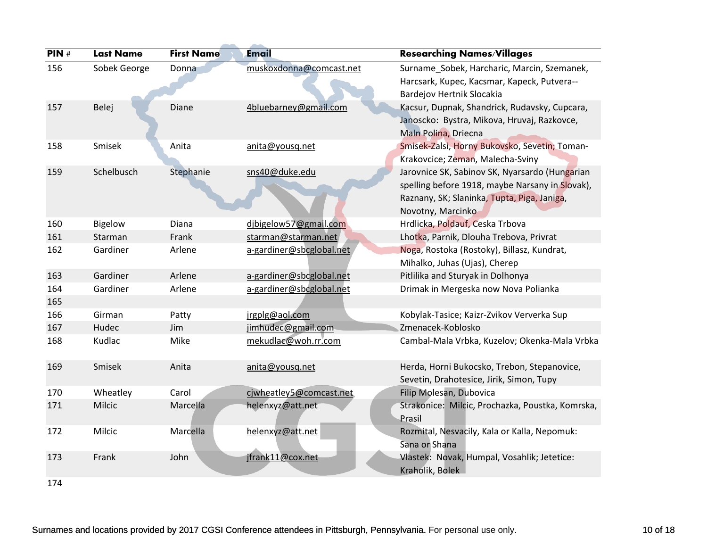| PIN# | <b>Last Name</b> | <b>First Name</b> | <b>Email</b>             | <b>Researching Names/Villages</b>                                                                                                                                     |
|------|------------------|-------------------|--------------------------|-----------------------------------------------------------------------------------------------------------------------------------------------------------------------|
| 156  | Sobek George     | Donna             | muskoxdonna@comcast.net  | Surname_Sobek, Harcharic, Marcin, Szemanek,                                                                                                                           |
|      |                  |                   |                          | Harcsark, Kupec, Kacsmar, Kapeck, Putvera--                                                                                                                           |
|      |                  |                   |                          | Bardejov Hertnik Slocakia                                                                                                                                             |
| 157  | Belej            | Diane             | 4bluebarney@gmail.com    | Kacsur, Dupnak, Shandrick, Rudavsky, Cupcara,<br>Janoscko: Bystra, Mikova, Hruvaj, Razkovce,<br>Maln Polina, Driecna                                                  |
| 158  | Smisek           | Anita             | anita@yousq.net          | Smisek-Zalsi, Horny Bukovsko, Sevetin; Toman-<br>Krakovcice; Zeman, Malecha-Sviny                                                                                     |
| 159  | Schelbusch       | Stephanie         | sns40@duke.edu           | Jarovnice SK, Sabinov SK, Nyarsardo (Hungarian<br>spelling before 1918, maybe Narsany in Slovak),<br>Raznany, SK; Slaninka, Tupta, Piga, Janiga,<br>Novotny, Marcinko |
| 160  | <b>Bigelow</b>   | Diana             | dibigelow57@gmail.com    | Hrdlicka, Poldauf, Ceska Trbova                                                                                                                                       |
| 161  | Starman          | Frank             | starman@starman.net      | Lhotka, Parnik, Dlouha Trebova, Privrat                                                                                                                               |
| 162  | Gardiner         | Arlene            | a-gardiner@sbcglobal.net | Noga, Rostoka (Rostoky), Billasz, Kundrat,<br>Mihalko, Juhas (Ujas), Cherep                                                                                           |
| 163  | Gardiner         | Arlene            | a-gardiner@sbcglobal.net | Pitlilika and Sturyak in Dolhonya                                                                                                                                     |
| 164  | Gardiner         | Arlene            | a-gardiner@sbcglobal.net | Drimak in Mergeska now Nova Polianka                                                                                                                                  |
| 165  |                  |                   |                          |                                                                                                                                                                       |
| 166  | Girman           | Patty             | jrgplg@aol.com           | Kobylak-Tasice; Kaizr-Zvikov Ververka Sup                                                                                                                             |
| 167  | Hudec            | Jim               | jimhudec@gmail.com       | Zmenacek-Koblosko                                                                                                                                                     |
| 168  | Kudlac           | Mike              | mekudlac@woh.rr.com      | Cambal-Mala Vrbka, Kuzelov; Okenka-Mala Vrbka                                                                                                                         |
| 169  | Smisek           | Anita             | anita@yousq.net          | Herda, Horni Bukocsko, Trebon, Stepanovice,                                                                                                                           |
|      |                  |                   |                          | Sevetin, Drahotesice, Jirik, Simon, Tupy                                                                                                                              |
| 170  | Wheatley         | Carol             | cjwheatley5@comcast.net  | Filip Molesan, Dubovica                                                                                                                                               |
| 171  | Milcic           | Marcella          | helenxyz@att.net         | Strakonice: Milcic, Prochazka, Poustka, Komrska,<br>Prasil                                                                                                            |
| 172  | Milcic           | Marcella          | helenxyz@att.net         | Rozmital, Nesvacily, Kala or Kalla, Nepomuk:<br>Sana or Shana                                                                                                         |
| 173  | Frank            | John              | jfrank11@cox.net         | Vlastek: Novak, Humpal, Vosahlik; Jetetice:<br>Kraholik, Bolek                                                                                                        |
| 174  |                  |                   |                          |                                                                                                                                                                       |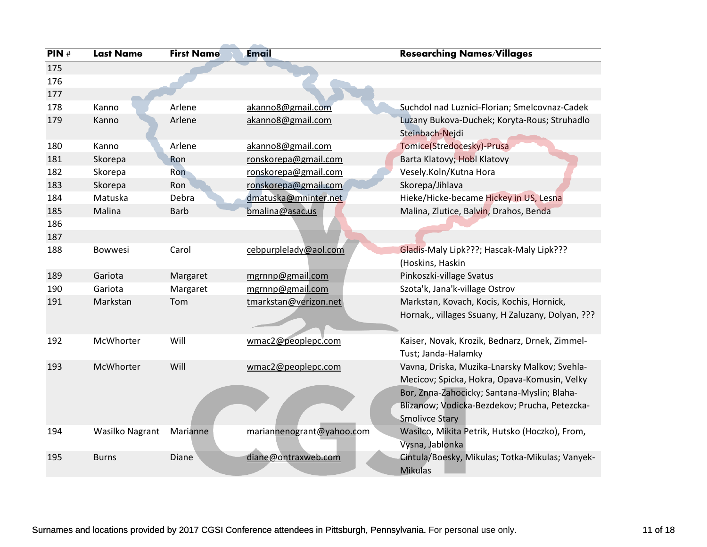| PIN# | <b>Last Name</b> | <b>First Name</b> | <b>Email</b>              | <b>Researching Names/Villages</b>                                                                                                                                                                                      |
|------|------------------|-------------------|---------------------------|------------------------------------------------------------------------------------------------------------------------------------------------------------------------------------------------------------------------|
| 175  |                  |                   |                           |                                                                                                                                                                                                                        |
| 176  |                  |                   |                           |                                                                                                                                                                                                                        |
| 177  |                  |                   |                           |                                                                                                                                                                                                                        |
| 178  | Kanno            | Arlene            | akanno8@gmail.com         | Suchdol nad Luznici-Florian; Smelcovnaz-Cadek                                                                                                                                                                          |
| 179  | Kanno            | Arlene            | akanno8@gmail.com         | Luzany Bukova-Duchek; Koryta-Rous; Struhadlo<br>Steinbach-Nejdi                                                                                                                                                        |
| 180  | Kanno            | Arlene            | akanno8@gmail.com         | Tomice(Stredocesky)-Prusa                                                                                                                                                                                              |
| 181  | Skorepa          | Ron               | ronskorepa@gmail.com      | Barta Klatovy; Hobl Klatovy                                                                                                                                                                                            |
| 182  | Skorepa          | Ron               | ronskorepa@gmail.com      | Vesely.Koln/Kutna Hora                                                                                                                                                                                                 |
| 183  | Skorepa          | Ron               | ronskorepa@gmail.com      | Skorepa/Jihlava                                                                                                                                                                                                        |
| 184  | Matuska          | Debra             | dmatuska@mninter.net      | Hieke/Hicke-became Hickey in US, Lesna                                                                                                                                                                                 |
| 185  | Malina           | <b>Barb</b>       | bmalina@asac.us           | Malina, Zlutice, Balvin, Drahos, Benda                                                                                                                                                                                 |
| 186  |                  |                   |                           |                                                                                                                                                                                                                        |
| 187  |                  |                   |                           |                                                                                                                                                                                                                        |
| 188  | <b>Bowwesi</b>   | Carol             | cebpurplelady@aol.com     | Gladis-Maly Lipk???; Hascak-Maly Lipk???                                                                                                                                                                               |
|      |                  |                   |                           | (Hoskins, Haskin                                                                                                                                                                                                       |
| 189  | Gariota          | Margaret          | mgrnnp@gmail.com          | Pinkoszki-village Svatus                                                                                                                                                                                               |
| 190  | Gariota          | Margaret          | mgrnnp@gmail.com          | Szota'k, Jana'k-village Ostrov                                                                                                                                                                                         |
| 191  | Markstan         | Tom               | tmarkstan@verizon.net     | Markstan, Kovach, Kocis, Kochis, Hornick,<br>Hornak,, villages Ssuany, H Zaluzany, Dolyan, ???                                                                                                                         |
| 192  | McWhorter        | Will              | wmac2@peoplepc.com        | Kaiser, Novak, Krozik, Bednarz, Drnek, Zimmel-<br>Tust; Janda-Halamky                                                                                                                                                  |
| 193  | McWhorter        | Will              | wmac2@peoplepc.com        | Vavna, Driska, Muzika-Lnarsky Malkov; Svehla-<br>Mecicov; Spicka, Hokra, Opava-Komusin, Velky<br>Bor, Znna-Zahocicky; Santana-Myslin; Blaha-<br>Blizanow; Vodicka-Bezdekov; Prucha, Petezcka-<br><b>Smolivce Stary</b> |
| 194  | Wasilko Nagrant  | Marianne          | mariannenogrant@yahoo.com | Wasilco, Mikita Petrik, Hutsko (Hoczko), From,<br>Vysna, Jablonka                                                                                                                                                      |
| 195  | <b>Burns</b>     | Diane             | diane@ontraxweb.com       | Cintula/Boesky, Mikulas; Totka-Mikulas; Vanyek-<br><b>Mikulas</b>                                                                                                                                                      |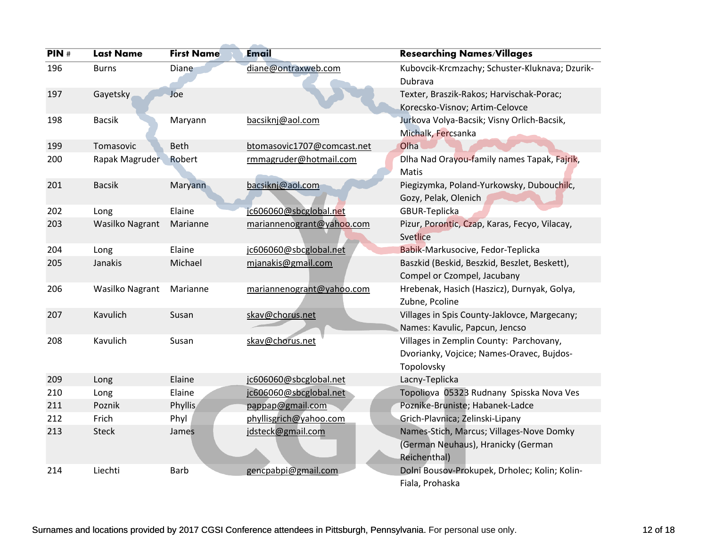| PIN# | <b>Last Name</b>       | <b>First Name</b> | <b>Email</b>               | <b>Researching Names/Villages</b>              |
|------|------------------------|-------------------|----------------------------|------------------------------------------------|
| 196  | <b>Burns</b>           | Diane             | diane@ontraxweb.com        | Kubovcik-Krcmzachy; Schuster-Kluknava; Dzurik- |
|      |                        |                   |                            | Dubrava                                        |
| 197  | Gayetsky               | Joe               |                            | Texter, Braszik-Rakos; Harvischak-Porac;       |
|      |                        |                   |                            | Korecsko-Visnov; Artim-Celovce                 |
| 198  | <b>Bacsik</b>          | Maryann           | bacsiknj@aol.com           | Jurkova Volya-Bacsik; Visny Orlich-Bacsik,     |
|      |                        |                   |                            | Michalk, Fercsanka                             |
| 199  | Tomasovic              | Beth              | btomasovic1707@comcast.net | Olha                                           |
| 200  | Rapak Magruder         | Robert            | rmmagruder@hotmail.com     | Dlha Nad Orayou-family names Tapak, Fajrik,    |
|      |                        |                   |                            | Matis                                          |
| 201  | <b>Bacsik</b>          | Maryann           | bacsiknj@aol.com           | Piegizymka, Poland-Yurkowsky, Dubouchilc,      |
|      |                        |                   |                            | Gozy, Pelak, Olenich                           |
| 202  | Long                   | Elaine            | jc606060@sbcglobal.net     | GBUR-Teplicka                                  |
| 203  | <b>Wasilko Nagrant</b> | Marianne          | mariannenogrant@yahoo.com  | Pizur, Porontic, Czap, Karas, Fecyo, Vilacay,  |
|      |                        |                   |                            | Svetlice                                       |
| 204  | Long                   | Elaine            | jc606060@sbcglobal.net     | Babik-Markusocive, Fedor-Teplicka              |
| 205  | Janakis                | Michael           | mjanakis@gmail.com         | Baszkid (Beskid, Beszkid, Beszlet, Beskett),   |
|      |                        |                   |                            | Compel or Czompel, Jacubany                    |
| 206  | <b>Wasilko Nagrant</b> | Marianne          | mariannenogrant@yahoo.com  | Hrebenak, Hasich (Haszicz), Durnyak, Golya,    |
|      |                        |                   |                            | Zubne, Pcoline                                 |
| 207  | Kavulich               | Susan             | skav@chorus.net            | Villages in Spis County-Jaklovce, Margecany;   |
|      |                        |                   |                            | Names: Kavulic, Papcun, Jencso                 |
| 208  | Kavulich               | Susan             | skav@chorus.net            | Villages in Zemplin County: Parchovany,        |
|      |                        |                   |                            | Dvorianky, Vojcice; Names-Oravec, Bujdos-      |
|      |                        |                   |                            | Topolovsky                                     |
| 209  | Long                   | Elaine            | jc606060@sbcglobal.net     | Lacny-Teplicka                                 |
| 210  | Long                   | Elaine            | jc606060@sbcglobal.net     | Topoliova 05323 Rudnany Spisska Nova Ves       |
| 211  | Poznik                 | <b>Phyllis</b>    | pappap@gmail.com           | Poznike-Bruniste; Habanek-Ladce                |
| 212  | Frich                  | Phyl              | phyllisgrich@yahoo.com     | Grich-Plavnica; Zelinski-Lipany                |
| 213  | <b>Steck</b>           | James             | jdsteck@gmail.com          | Names-Stich, Marcus; Villages-Nove Domky       |
|      |                        |                   |                            | (German Neuhaus), Hranicky (German             |
|      |                        |                   |                            | Reichenthal)                                   |
| 214  | Liechti                | <b>Barb</b>       | gencpabpi@gmail.com        | Dolni Bousov-Prokupek, Drholec; Kolin; Kolin-  |
|      |                        |                   |                            | Fiala, Prohaska                                |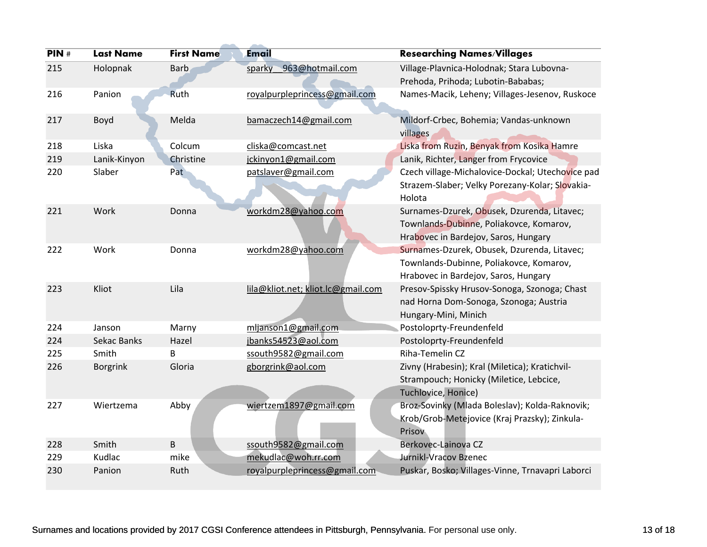| PIN# | <b>Last Name</b> | <b>First Name</b> | <b>Email</b>                       | <b>Researching Names/Villages</b>                                                                                              |
|------|------------------|-------------------|------------------------------------|--------------------------------------------------------------------------------------------------------------------------------|
| 215  | Holopnak         | <b>Barb</b>       | 963@hotmail.com<br>sparky          | Village-Plavnica-Holodnak; Stara Lubovna-                                                                                      |
|      |                  |                   |                                    | Prehoda, Prihoda; Lubotin-Bababas;                                                                                             |
| 216  | Panion           | Ruth              | royalpurpleprincess@gmail.com      | Names-Macik, Leheny; Villages-Jesenov, Ruskoce                                                                                 |
| 217  | Boyd             | Melda             | bamaczech14@gmail.com              | Mildorf-Crbec, Bohemia; Vandas-unknown<br>villages                                                                             |
| 218  | Liska            | Colcum            | cliska@comcast.net                 | Liska from Ruzin, Benyak from Kosika Hamre                                                                                     |
| 219  | Lanik-Kinyon     | Christine         | jckinyon1@gmail.com                | Lanik, Richter, Langer from Frycovice                                                                                          |
| 220  | Slaber           | Pat               | patslaver@gmail.com                | Czech village-Michalovice-Dockal; Utechovice pad<br>Strazem-Slaber; Velky Porezany-Kolar; Slovakia-<br>Holota                  |
| 221  | Work             | Donna             | workdm28@yahoo.com                 | Surnames-Dzurek, Obusek, Dzurenda, Litavec;<br>Townlands-Dubinne, Poliakovce, Komarov,<br>Hrabovec in Bardejov, Saros, Hungary |
| 222  | Work             | Donna             | workdm28@yahoo.com                 | Surnames-Dzurek, Obusek, Dzurenda, Litavec;<br>Townlands-Dubinne, Poliakovce, Komarov,<br>Hrabovec in Bardejov, Saros, Hungary |
| 223  | Kliot            | Lila              | lila@kliot.net; kliot.lc@gmail.com | Presov-Spissky Hrusov-Sonoga, Szonoga; Chast<br>nad Horna Dom-Sonoga, Szonoga; Austria<br>Hungary-Mini, Minich                 |
| 224  | Janson           | Marny             | mljanson1@gmail.com                | Postoloprty-Freundenfeld                                                                                                       |
| 224  | Sekac Banks      | Hazel             | jbanks54523@aol.com                | Postoloprty-Freundenfeld                                                                                                       |
| 225  | Smith            | B                 | ssouth9582@gmail.com               | Riha-Temelin CZ                                                                                                                |
| 226  | <b>Borgrink</b>  | Gloria            | gborgrink@aol.com                  | Zivny (Hrabesin); Kral (Miletica); Kratichvil-<br>Strampouch; Honicky (Miletice, Lebcice,<br>Tuchlovice, Honice)               |
| 227  | Wiertzema        | Abby              | wiertzem1897@gmail.com             | Broz-Sovinky (Mlada Boleslav); Kolda-Raknovik;<br>Krob/Grob-Metejovice (Kraj Prazsky); Zinkula-<br>Prisov                      |
| 228  | Smith            | B                 | ssouth9582@gmail.com               | Berkovec-Lainova CZ                                                                                                            |
| 229  | Kudlac           | mike              | mekudlac@woh.rr.com                | Jurnikl-Vracov Bzenec                                                                                                          |
| 230  | Panion           | Ruth              | royalpurpleprincess@gmail.com      | Puskar, Bosko; Villages-Vinne, Trnavapri Laborci                                                                               |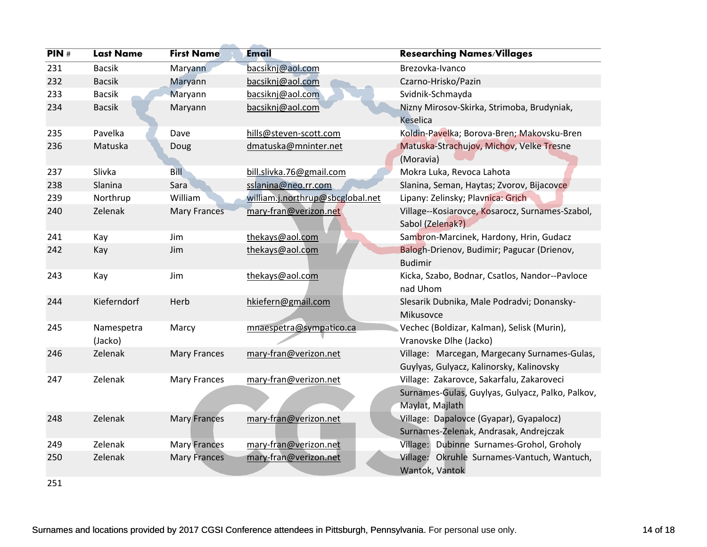| PIN# | <b>Last Name</b>      | <b>First Name</b>   | Email                            | <b>Researching Names/Villages</b>                                                                                |
|------|-----------------------|---------------------|----------------------------------|------------------------------------------------------------------------------------------------------------------|
| 231  | <b>Bacsik</b>         | Maryann             | bacsiknj@aol.com                 | Brezovka-Ivanco                                                                                                  |
| 232  | <b>Bacsik</b>         | Maryann             | bacsiknj@aol.com                 | Czarno-Hrisko/Pazin                                                                                              |
| 233  | <b>Bacsik</b>         | Maryann             | bacsiknj@aol.com                 | Svidnik-Schmayda                                                                                                 |
| 234  | <b>Bacsik</b>         | Maryann             | bacsiknj@aol.com                 | Nizny Mirosov-Skirka, Strimoba, Brudyniak,<br><b>Keselica</b>                                                    |
| 235  | Pavelka               | Dave                | hills@steven-scott.com           | Koldin-Pavelka; Borova-Bren; Makovsku-Bren                                                                       |
| 236  | Matuska               | Doug                | dmatuska@mninter.net             | Matuska-Strachujov, Michov, Velke Tresne<br>(Moravia)                                                            |
| 237  | Slivka                | <b>Bill</b>         | bill.slivka.76@gmail.com         | Mokra Luka, Revoca Lahota                                                                                        |
| 238  | Slanina               | Sara                | sslanina@neo.rr.com              | Slanina, Seman, Haytas; Zvorov, Bijacovce                                                                        |
| 239  | Northrup              | William             | william.j.northrup@sbcglobal.net | Lipany: Zelinsky; Plavnica: Grich                                                                                |
| 240  | Zelenak               | <b>Mary Frances</b> | mary-fran@verizon.net            | Village--Kosiarovce, Kosarocz, Surnames-Szabol,<br>Sabol (Zelenak?)                                              |
| 241  | Kay                   | Jim                 | thekays@aol.com                  | Sambron-Marcinek, Hardony, Hrin, Gudacz                                                                          |
| 242  | Kay                   | Jim                 | thekays@aol.com                  | Balogh-Drienov, Budimir; Pagucar (Drienov,<br><b>Budimir</b>                                                     |
| 243  | Kay                   | Jim                 | thekays@aol.com                  | Kicka, Szabo, Bodnar, Csatlos, Nandor--Pavloce<br>nad Uhom                                                       |
| 244  | Kieferndorf           | Herb                | hkiefern@gmail.com               | Slesarik Dubnika, Male Podradvi; Donansky-<br>Mikusovce                                                          |
| 245  | Namespetra<br>(Jacko) | Marcy               | mnaespetra@sympatico.ca          | Vechec (Boldizar, Kalman), Selisk (Murin),<br>Vranovske Dlhe (Jacko)                                             |
| 246  | Zelenak               | <b>Mary Frances</b> | mary-fran@verizon.net            | Village: Marcegan, Margecany Surnames-Gulas,<br>Guylyas, Gulyacz, Kalinorsky, Kalinovsky                         |
| 247  | Zelenak               | <b>Mary Frances</b> | mary-fran@verizon.net            | Village: Zakarovce, Sakarfalu, Zakaroveci<br>Surnames-Gulas, Guylyas, Gulyacz, Palko, Palkov,<br>Maylat, Majlath |
| 248  | Zelenak               | <b>Mary Frances</b> | mary-fran@verizon.net            | Village: Dapalovce (Gyapar), Gyapalocz)<br>Surnames-Zelenak, Andrasak, Andrejczak                                |
| 249  | Zelenak               | <b>Mary Frances</b> | mary-fran@verizon.net            | Village: Dubinne Surnames-Grohol, Groholy                                                                        |
| 250  | Zelenak               | <b>Mary Frances</b> | mary-fran@verizon.net            | Village: Okruhle Surnames-Vantuch, Wantuch,<br>Wantok, Vantok                                                    |
| 251  |                       |                     |                                  |                                                                                                                  |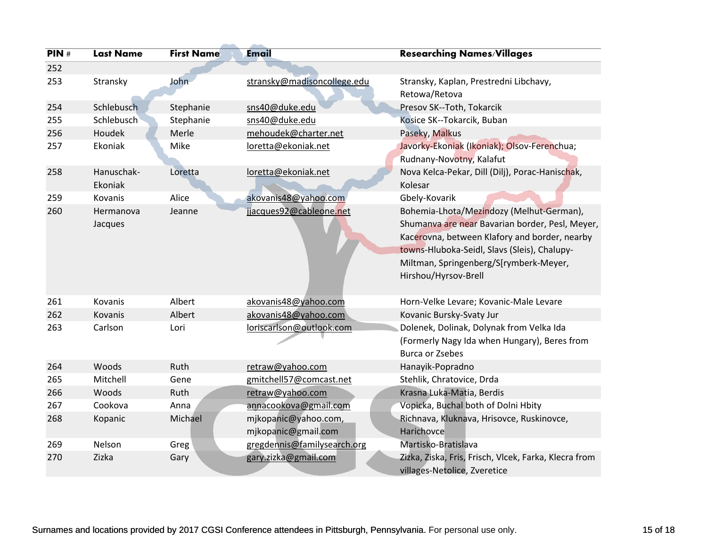| PIN# | <b>Last Name</b> | <b>First Name</b> | <b>Email</b>                | <b>Researching Names/Villages</b>                       |
|------|------------------|-------------------|-----------------------------|---------------------------------------------------------|
| 252  |                  |                   |                             |                                                         |
| 253  | Stransky         | John              | stransky@madisoncollege.edu | Stransky, Kaplan, Prestredni Libchavy,<br>Retowa/Retova |
| 254  | Schlebusch       | Stephanie         | sns40@duke.edu              | Presov SK--Toth, Tokarcik                               |
| 255  | Schlebusch       | Stephanie         | sns40@duke.edu              | Kosice SK--Tokarcik, Buban                              |
| 256  | Houdek           | Merle             | mehoudek@charter.net        | Paseky, Malkus                                          |
| 257  | Ekoniak          | Mike              | loretta@ekoniak.net         | Javorky-Ekoniak (Ikoniak); Olsov-Ferenchua;             |
|      |                  |                   |                             | Rudnany-Novotny, Kalafut                                |
| 258  | Hanuschak-       | Loretta           | loretta@ekoniak.net         | Nova Kelca-Pekar, Dill (Dilj), Porac-Hanischak,         |
|      | Ekoniak          |                   |                             | Kolesar                                                 |
| 259  | Kovanis          | Alice             | akovanis48@yahoo.com        | Gbely-Kovarik                                           |
| 260  | Hermanova        | Jeanne            | jjacques92@cableone.net     | Bohemia-Lhota/Mezindozy (Melhut-German),                |
|      | Jacques          |                   |                             | Shumanya are near Bavarian border, Pesl, Meyer,         |
|      |                  |                   |                             | Kacerovna, between Klafory and border, nearby           |
|      |                  |                   |                             | towns-Hluboka-Seidl, Slavs (Sleis), Chalupy-            |
|      |                  |                   |                             | Miltman, Springenberg/S[rymberk-Meyer,                  |
|      |                  |                   |                             | Hirshou/Hyrsov-Brell                                    |
|      |                  |                   |                             |                                                         |
| 261  | Kovanis          | Albert            | akovanis48@yahoo.com        | Horn-Velke Levare; Kovanic-Male Levare                  |
| 262  | Kovanis          | Albert            | akovanis48@yahoo.com        | Kovanic Bursky-Svaty Jur                                |
| 263  | Carlson          | Lori              | loriscarlson@outlook.com    | Dolenek, Dolinak, Dolynak from Velka Ida                |
|      |                  |                   |                             | (Formerly Nagy Ida when Hungary), Beres from            |
|      |                  |                   |                             | <b>Burca or Zsebes</b>                                  |
| 264  | Woods            | Ruth              | retraw@yahoo.com            | Hanayik-Popradno                                        |
| 265  | Mitchell         | Gene              | gmitchell57@comcast.net     | Stehlik, Chratovice, Drda                               |
| 266  | Woods            | Ruth              | retraw@yahoo.com            | Krasna Luka-Matia, Berdis                               |
| 267  | Cookova          | Anna              | annacookova@gmail.com       | Vopicka, Buchal both of Dolni Hbity                     |
| 268  | Kopanic          | Michael           | mjkopanic@yahoo.com,        | Richnava, Kluknava, Hrisovce, Ruskinovce,               |
|      |                  |                   | mjkopanic@gmail.com         | Harichovce                                              |
| 269  | Nelson           | Greg              | gregdennis@familysearch.org | Martisko-Bratislava                                     |
| 270  | Zizka            | Gary              | gary.zizka@gmail.com        | Zizka, Ziska, Fris, Frisch, Vlcek, Farka, Klecra from   |
|      |                  |                   |                             | villages-Netolice, Zveretice                            |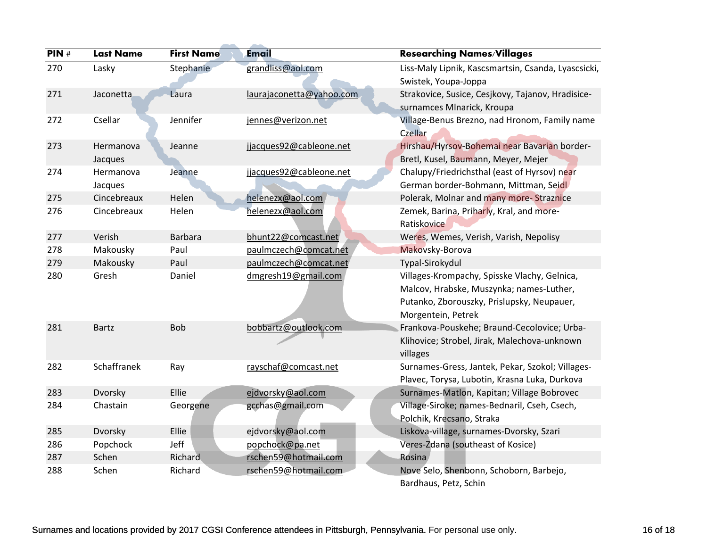| PIN# | <b>Last Name</b>     | <b>First Name</b> | <b>Email</b>             | <b>Researching Names/Villages</b>                                                                                                                            |
|------|----------------------|-------------------|--------------------------|--------------------------------------------------------------------------------------------------------------------------------------------------------------|
| 270  | Lasky                | <b>Stephanie</b>  | grandliss@aol.com        | Liss-Maly Lipnik, Kascsmartsin, Csanda, Lyascsicki,<br>Swistek, Youpa-Joppa                                                                                  |
| 271  | Jaconetta            | Laura             | laurajaconetta@yahoo.com | Strakovice, Susice, Cesjkovy, Tajanov, Hradisice-<br>surnamces Mlnarick, Kroupa                                                                              |
| 272  | Csellar              | Jennifer          | jennes@verizon.net       | Village-Benus Brezno, nad Hronom, Family name<br>Czellar                                                                                                     |
| 273  | Hermanova<br>Jacques | Jeanne            | jjacques92@cableone.net  | Hirshau/Hyrsov-Bohemai near Bavarian border-<br>Bretl, Kusel, Baumann, Meyer, Mejer                                                                          |
| 274  | Hermanova<br>Jacques | Jeanne            | jjacques92@cableone.net  | Chalupy/Friedrichsthal (east of Hyrsov) near<br>German border-Bohmann, Mittman, Seidl                                                                        |
| 275  | Cincebreaux          | Helen             | helenezx@aol.com         | Polerak, Molnar and many more-Straznice                                                                                                                      |
| 276  | Cincebreaux          | Helen             | helenezx@aol.com         | Zemek, Barina, Priharly, Kral, and more-<br>Ratiskovice                                                                                                      |
| 277  | Verish               | <b>Barbara</b>    | bhunt22@comcast.net      | Weres, Wemes, Verish, Varish, Nepolisy                                                                                                                       |
| 278  | Makousky             | Paul              | paulmczech@comcat.net    | Makovsky-Borova                                                                                                                                              |
| 279  | Makousky             | Paul              | paulmczech@comcat.net    | Typal-Sirokydul                                                                                                                                              |
| 280  | Gresh                | Daniel            | dmgresh19@gmail.com      | Villages-Krompachy, Spisske Vlachy, Gelnica,<br>Malcov, Hrabske, Muszynka; names-Luther,<br>Putanko, Zborouszky, Prislupsky, Neupauer,<br>Morgentein, Petrek |
| 281  | <b>Bartz</b>         | <b>Bob</b>        | bobbartz@outlook.com     | Frankova-Pouskehe; Braund-Cecolovice; Urba-<br>Klihovice; Strobel, Jirak, Malechova-unknown<br>villages                                                      |
| 282  | Schaffranek          | Ray               | rayschaf@comcast.net     | Surnames-Gress, Jantek, Pekar, Szokol; Villages-<br>Plavec, Torysa, Lubotin, Krasna Luka, Durkova                                                            |
| 283  | Dvorsky              | Ellie             | ejdvorsky@aol.com        | Surnames-Matlon, Kapitan; Village Bobrovec                                                                                                                   |
| 284  | Chastain             | Georgene          | gcchas@gmail.com         | Village-Siroke; names-Bednaril, Cseh, Csech,<br>Polchik, Krecsano, Straka                                                                                    |
| 285  | Dvorsky              | Ellie             | ejdvorsky@aol.com        | Liskova-village, surnames-Dvorsky, Szari                                                                                                                     |
| 286  | Popchock             | Jeff              | popchock@pa.net          | Veres-Zdana (southeast of Kosice)                                                                                                                            |
| 287  | Schen                | Richard           | rschen59@hotmail.com     | <b>Rosina</b>                                                                                                                                                |
| 288  | Schen                | Richard           | rschen59@hotmail.com     | Nove Selo, Shenbonn, Schoborn, Barbejo,<br>Bardhaus, Petz, Schin                                                                                             |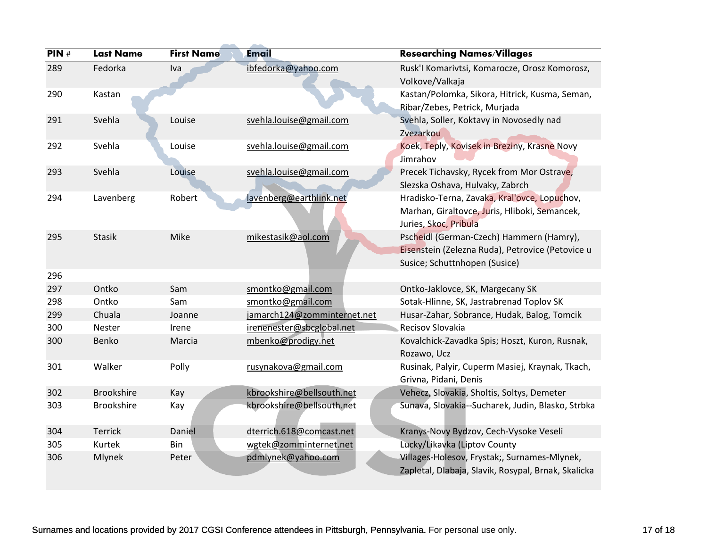| PIN# | <b>Last Name</b>  | <b>First Name</b> | <b>Email</b>                | <b>Researching Names/Villages</b>                                                                                             |
|------|-------------------|-------------------|-----------------------------|-------------------------------------------------------------------------------------------------------------------------------|
| 289  | Fedorka           | Iva               | ibfedorka@yahoo.com         | Rusk'l Komarivtsi, Komarocze, Orosz Komorosz,<br>Volkove/Valkaja                                                              |
| 290  | Kastan            |                   |                             | Kastan/Polomka, Sikora, Hitrick, Kusma, Seman,<br>Ribar/Zebes, Petrick, Murjada                                               |
| 291  | Svehla            | Louise            | svehla.louise@gmail.com     | Svehla, Soller, Koktavy in Novosedly nad<br>Zvezarkou                                                                         |
| 292  | Svehla            | Louise            | svehla.louise@gmail.com     | Koek, Teply, Kovisek in Breziny, Krasne Novy<br>Jimrahov                                                                      |
| 293  | Svehla            | Louise            | svehla.louise@gmail.com     | Precek Tichavsky, Rycek from Mor Ostrave,<br>Slezska Oshava, Hulvaky, Zabrch                                                  |
| 294  | Lavenberg         | Robert            | lavenberg@earthlink.net     | Hradisko-Terna, Zavaka, Kraľovce, Lopuchov,<br>Marhan, Giraltovce, Juris, Hliboki, Semancek,<br>Juries, Skoc, Pribula         |
| 295  | <b>Stasik</b>     | Mike              | mikestasik@aol.com          | Pscheidl (German-Czech) Hammern (Hamry),<br>Eisenstein (Zelezna Ruda), Petrovice (Petovice u<br>Susice; Schuttnhopen (Susice) |
| 296  |                   |                   |                             |                                                                                                                               |
| 297  | Ontko             | Sam               | smontko@gmail.com           | Ontko-Jaklovce, SK, Margecany SK                                                                                              |
| 298  | Ontko             | Sam               | smontko@gmail.com           | Sotak-Hlinne, SK, Jastrabrenad Toplov SK                                                                                      |
| 299  | Chuala            | Joanne            | jamarch124@zomminternet.net | Husar-Zahar, Sobrance, Hudak, Balog, Tomcik                                                                                   |
| 300  | Nester            | Irene             | irenenester@sbcglobal.net   | Recisov Slovakia                                                                                                              |
| 300  | Benko             | Marcia            | mbenko@prodigy.net          | Kovalchick-Zavadka Spis; Hoszt, Kuron, Rusnak,<br>Rozawo, Ucz                                                                 |
| 301  | Walker            | Polly             | rusynakova@gmail.com        | Rusinak, Palyir, Cuperm Masiej, Kraynak, Tkach,<br>Grivna, Pidani, Denis                                                      |
| 302  | <b>Brookshire</b> | Kay               | kbrookshire@bellsouth.net   | Vehecz, Slovakia, Sholtis, Soltys, Demeter                                                                                    |
| 303  | <b>Brookshire</b> | Kay               | kbrookshire@bellsouth.net   | Sunava, Slovakia--Sucharek, Judin, Blasko, Strbka                                                                             |
| 304  | Terrick           | Daniel            | dterrich.618@comcast.net    | Kranys-Novy Bydzov, Cech-Vysoke Veseli                                                                                        |
| 305  | Kurtek            | Bin               | wgtek@zomminternet.net      | Lucky/Likavka (Liptov County                                                                                                  |
| 306  | Mlynek            | Peter             | pdmlynek@yahoo.com          | Villages-Holesov, Frystak;, Surnames-Mlynek,<br>Zapletal, Dlabaja, Slavik, Rosypal, Brnak, Skalicka                           |